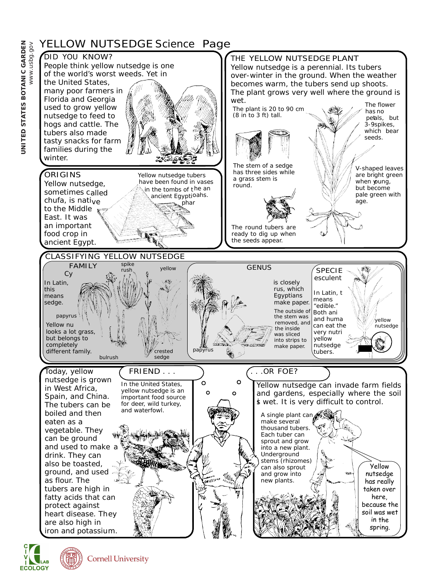

**ECOLOGY** 

**Cornell University**